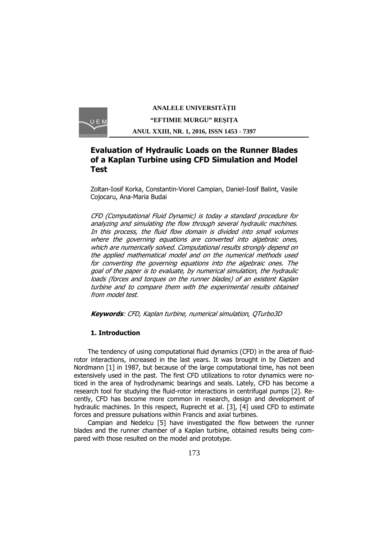

# **Evaluation of Hydraulic Loads on the Runner Blades of a Kaplan Turbine using CFD Simulation and Model Test**

Zoltan-Iosif Korka, Constantin-Viorel Campian, Daniel-Iosif Balint, Vasile Cojocaru, Ana-Maria Budai

CFD (Computational Fluid Dynamic) is today a standard procedure for analyzing and simulating the flow through several hydraulic machines. In this process, the fluid flow domain is divided into small volumes where the governing equations are converted into algebraic ones, which are numerically solved. Computational results strongly depend on the applied mathematical model and on the numerical methods used for converting the governing equations into the algebraic ones. The goal of the paper is to evaluate, by numerical simulation, the hydraulic loads (forces and torques on the runner blades) of an existent Kaplan turbine and to compare them with the experimental results obtained from model test.

**Keywords**: CFD, Kaplan turbine, numerical simulation, QTurbo3D

## **1. Introduction**

The tendency of using computational fluid dynamics (CFD) in the area of fluidrotor interactions, increased in the last years. It was brought in by Dietzen and Nordmann [1] in 1987, but because of the large computational time, has not been extensively used in the past. The first CFD utilizations to rotor dynamics were noticed in the area of hydrodynamic bearings and seals. Lately, CFD has become a research tool for studying the fluid-rotor interactions in centrifugal pumps [2]. Recently, CFD has become more common in research, design and development of hydraulic machines. In this respect, Ruprecht et al. [3], [4] used CFD to estimate forces and pressure pulsations within Francis and axial turbines.

Campian and Nedelcu [5] have investigated the flow between the runner blades and the runner chamber of a Kaplan turbine, obtained results being compared with those resulted on the model and prototype.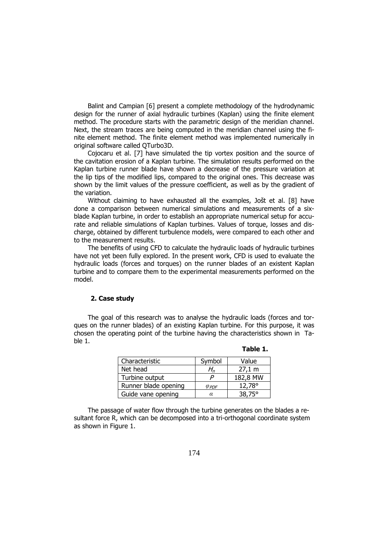Balint and Campian [6] present a complete methodology of the hydrodynamic design for the runner of axial hydraulic turbines (Kaplan) using the finite element method. The procedure starts with the parametric design of the meridian channel. Next, the stream traces are being computed in the meridian channel using the finite element method. The finite element method was implemented numerically in original software called QTurbo3D.

Cojocaru et al. [7] have simulated the tip vortex position and the source of the cavitation erosion of a Kaplan turbine. The simulation results performed on the Kaplan turbine runner blade have shown a decrease of the pressure variation at the lip tips of the modified lips, compared to the original ones. This decrease was shown by the limit values of the pressure coefficient, as well as by the gradient of the variation.

Without claiming to have exhausted all the examples, Jošt et al. [8] have done a comparison between numerical simulations and measurements of a sixblade Kaplan turbine, in order to establish an appropriate numerical setup for accurate and reliable simulations of Kaplan turbines. Values of torque, losses and discharge, obtained by different turbulence models, were compared to each other and to the measurement results.

The benefits of using CFD to calculate the hydraulic loads of hydraulic turbines have not yet been fully explored. In the present work, CFD is used to evaluate the hydraulic loads (forces and torques) on the runner blades of an existent Kaplan turbine and to compare them to the experimental measurements performed on the model.

### **2. Case study**

The goal of this research was to analyse the hydraulic loads (forces and torques on the runner blades) of an existing Kaplan turbine. For this purpose, it was chosen the operating point of the turbine having the characteristics shown in Table 1.

| Characteristic       | Symbol          | Value           |
|----------------------|-----------------|-----------------|
| Net head             | H,              | 27,1 m          |
| Turbine output       |                 | 182,8 MW        |
| Runner blade opening | $\varphi_{PDF}$ | $12,78^{\circ}$ |
| Guide vane opening   | α               | $38.75^{\circ}$ |

**Table 1.**

The passage of water flow through the turbine generates on the blades a resultant force R, which can be decomposed into a tri-orthogonal coordinate system as shown in Figure 1.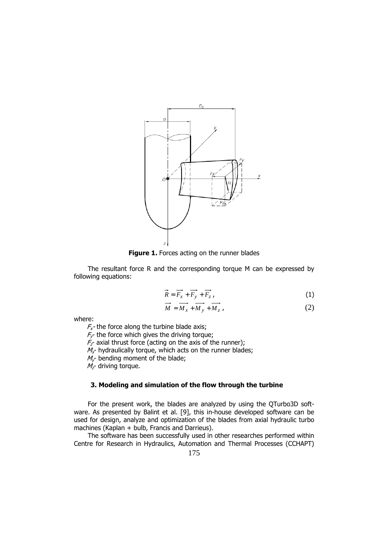

**Figure 1.** Forces acting on the runner blades

The resultant force R and the corresponding torque M can be expressed by following equations:

$$
\vec{R} = \vec{F_x} + \vec{F_y} + \vec{F_z} \tag{1}
$$

$$
\overrightarrow{M} = \overrightarrow{M_x} + \overrightarrow{M_y} + \overrightarrow{M_z}
$$
\n(2)

where:

 $F_{x}$ - the force along the turbine blade axis;

 $F_Y$  the force which gives the driving torque;

 $F<sub>z</sub>$  axial thrust force (acting on the axis of the runner);

 $M_x$ - hydraulically torque, which acts on the runner blades;

 $M_{\nu}$  bending moment of the blade;

 $M<sub>z</sub>$  driving torque.

### **3. Modeling and simulation of the flow through the turbine**

For the present work, the blades are analyzed by using the QTurbo3D software. As presented by Balint et al. [9], this in-house developed software can be used for design, analyze and optimization of the blades from axial hydraulic turbo machines (Kaplan + bulb, Francis and Darrieus).

The software has been successfully used in other researches performed within Centre for Research in Hydraulics, Automation and Thermal Processes (CCHAPT)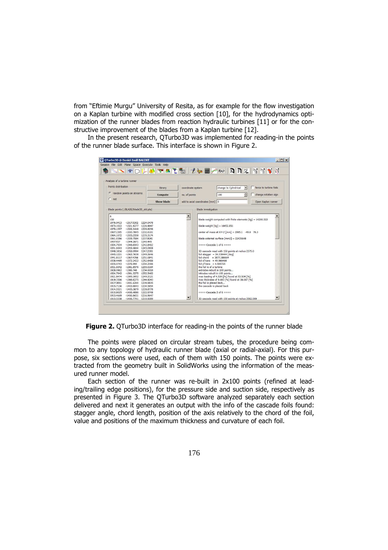from "Eftimie Murgu" University of Resita, as for example for the flow investigation on a Kaplan turbine with modified cross section [10], for the hydrodynamics optimization of the runner blades from reaction hydraulic turbines [11] or for the constructive improvement of the blades from a Kaplan turbine [12].

In the present research, QTurbo3D was implemented for reading-in the points of the runner blade surface. This interface is shown in Figure 2.

|                                         |            |                      |                                        |                                                               | SIPDLATE EDILAN RRYINT                                    |
|-----------------------------------------|------------|----------------------|----------------------------------------|---------------------------------------------------------------|-----------------------------------------------------------|
| - Analysis of a turbine runner          |            |                      |                                        |                                                               |                                                           |
| Points distribution                     |            |                      |                                        |                                                               | $\overline{\phantom{a}}$<br>$\Box$ force to turbine foils |
|                                         | library    | coordinate system    |                                        | change to Cylindrical                                         |                                                           |
| random points on streams                | Compute    | no. of points        |                                        | 100                                                           | 圖<br>change rotation sign                                 |
| C<br>net                                |            |                      |                                        |                                                               |                                                           |
|                                         | Show blade |                      | add to axial coordinates [mm] 0        |                                                               | Open Kaplan runner                                        |
| Blade points (./BLADE/blade3D_old.pts)- |            |                      | Blade investigation                    |                                                               |                                                           |
|                                         |            |                      |                                        |                                                               |                                                           |
| 6                                       |            | $\triangle$          |                                        |                                                               |                                                           |
| 150                                     |            |                      |                                        | blade weight computed with finite elements $[kq] = 14200.322$ |                                                           |
| 1976.0413<br>$-1317.5302$ 1224.0478     |            |                      |                                        |                                                               |                                                           |
| 1973.1022<br>-1321.9277 1226.9647       |            |                      |                                        | blade weight $\lceil kq \rceil = 16452.851$                   |                                                           |
| 1970.1357<br>$-1326.3448$ 1229.8238     |            |                      |                                        |                                                               |                                                           |
| 1967,1395<br>$-1330,7845$ 1232,6161     |            |                      |                                        | center of mass at X-Y-Z [mm] = 2985.1 -49.8 78.3              |                                                           |
| 1964.1072<br>$-1335.2558$ 1235.3174     |            |                      |                                        |                                                               |                                                           |
| 1961.0386 -1339.7584 1237.9241          |            |                      |                                        | blade external surface $[mm2] = 22435648$                     |                                                           |
| 1957.937<br>$-1344.2871$ 1240.445       |            |                      |                                        |                                                               |                                                           |
| 1954.7934<br>$-1348.8543$ 1242.8412     |            |                      | $=$ = $=$ Cascade 1 of 6 $=$ = $=$ $=$ |                                                               |                                                           |
| 1951.6043<br>$-1353.4644$ 1245.0908     |            |                      |                                        |                                                               |                                                           |
| 1948.3816<br>$-1358.0994$ 1247.2393     |            |                      |                                        | 3D cascade read with 150 points at radius 2375.0              |                                                           |
| 1945.1221<br>$-1362.7638$ 1249.2646     |            |                      |                                        | foil stagger = $34.338444$ [deg]                              |                                                           |
| 1941.8117<br>$-1367.4766$ 1251.0841     |            |                      | $foil chord = 3877.386664$             |                                                               |                                                           |
| 1938.4469<br>$-1372.2422$ 1252.6488     |            |                      | foil xTrans = $49.966466$              |                                                               |                                                           |
| $-1376.994$<br>1935.0743<br>1254.2396   |            |                      | foil $vTrans = 4.595725$               |                                                               |                                                           |
| 1931.6042<br>$-1381.8576$ 1255,0164     |            |                      | the foil is of a turbine               |                                                               |                                                           |
| 1928.0962<br>$-1386.748$<br>1254,6018   |            |                      |                                        | extrados rebuilt in 100 points                                |                                                           |
| 1924,7942<br>-1391.3275 1252.5462       |            |                      |                                        | intrados rebuilt in 100 points                                |                                                           |
| 1921.8474<br>$-1395.3952$ 1249.2121     |            |                      |                                        | max loading of 4.539 [%] found at 53.534 [%]                  |                                                           |
| 1919.3506<br>-1398.8275 1244.9243       |            |                      |                                        | max thickness of 9,693 [%] found at 38,087 [%]                |                                                           |
| 1917.3091<br>$-1401.6244$ 1239,9835     |            |                      | the foil is placed back                |                                                               |                                                           |
| 1915.7136<br>$-1403.8043$ 1234.5854     |            |                      | the cascade is placed back             |                                                               |                                                           |
| 1914.5521<br>$-1405.3879$ 1228.8778     |            |                      |                                        |                                                               |                                                           |
| 1913.8025<br>$-1406.4086$ 1222.9748     |            |                      | $=$ === Cascade 2 of 6 ====            |                                                               |                                                           |
| 1913.4669<br>$-1406.8651$ 1216.9647     |            |                      |                                        |                                                               |                                                           |
| 1913.5338<br>$-1406.7741$ 1210.9289     |            | $\blacktriangledown$ |                                        | 3D cascade read with 150 points at radius 2582.099            | $\blacksquare$                                            |

**Figure 2.** QTurbo3D interface for reading-in the points of the runner blade

The points were placed on circular stream tubes, the procedure being common to any topology of hydraulic runner blade (axial or radial-axial). For this purpose, six sections were used, each of them with 150 points. The points were extracted from the geometry built in SolidWorks using the information of the measured runner model.

Each section of the runner was re-built in 2x100 points (refined at leading/trailing edge positions), for the pressure side and suction side, respectively as presented in Figure 3. The QTurbo3D software analyzed separately each section delivered and next it generates an output with the info of the cascade foils found: stagger angle, chord length, position of the axis relatively to the chord of the foil, value and positions of the maximum thickness and curvature of each foil.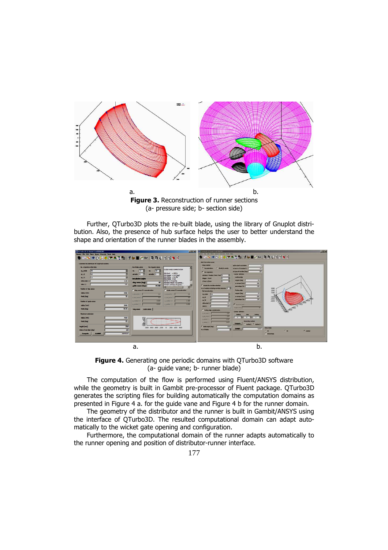

**Figure 3.** Reconstruction of runner sections (a- pressure side; b- section side)

Further, QTurbo3D plots the re-built blade, using the library of Gnuplot distribution. Also, the presence of hub surface helps the user to better understand the shape and orientation of the runner blades in the assembly.



**Figure 4.** Generating one periodic domains with QTurbo3D software (a- guide vane; b- runner blade)

The computation of the flow is performed using Fluent/ANSYS distribution, while the geometry is built in Gambit pre-processor of Fluent package. QTurbo3D generates the scripting files for building automatically the computation domains as presented in Figure 4 a. for the guide vane and Figure 4 b for the runner domain.

The geometry of the distributor and the runner is built in Gambit/ANSYS using the interface of QTurbo3D. The resulted computational domain can adapt automatically to the wicket gate opening and configuration.

Furthermore, the computational domain of the runner adapts automatically to the runner opening and position of distributor-runner interface.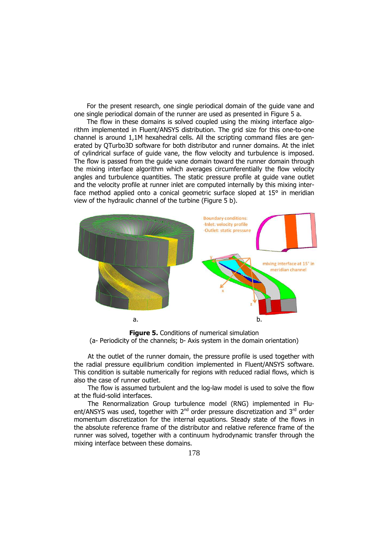For the present research, one single periodical domain of the guide vane and one single periodical domain of the runner are used as presented in Figure 5 a.

The flow in these domains is solved coupled using the mixing interface algorithm implemented in Fluent/ANSYS distribution. The grid size for this one-to-one channel is around 1,1M hexahedral cells. All the scripting command files are generated by QTurbo3D software for both distributor and runner domains. At the inlet of cylindrical surface of guide vane, the flow velocity and turbulence is imposed. The flow is passed from the guide vane domain toward the runner domain through the mixing interface algorithm which averages circumferentially the flow velocity angles and turbulence quantities. The static pressure profile at guide vane outlet and the velocity profile at runner inlet are computed internally by this mixing interface method applied onto a conical geometric surface sloped at 15° in meridian view of the hydraulic channel of the turbine (Figure 5 b).



**Figure 5.** Conditions of numerical simulation (a- Periodicity of the channels; b- Axis system in the domain orientation)

At the outlet of the runner domain, the pressure profile is used together with the radial pressure equilibrium condition implemented in Fluent/ANSYS software. This condition is suitable numerically for regions with reduced radial flows, which is also the case of runner outlet.

The flow is assumed turbulent and the log-law model is used to solve the flow at the fluid-solid interfaces.

The Renormalization Group turbulence model (RNG) implemented in Fluent/ANSYS was used, together with  $2^{nd}$  order pressure discretization and  $3^{rd}$  order momentum discretization for the internal equations. Steady state of the flows in the absolute reference frame of the distributor and relative reference frame of the runner was solved, together with a continuum hydrodynamic transfer through the mixing interface between these domains.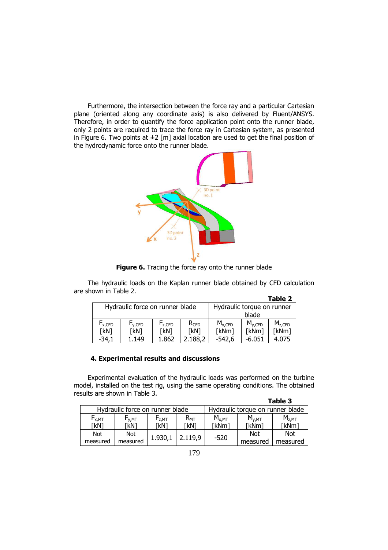Furthermore, the intersection between the force ray and a particular Cartesian plane (oriented along any coordinate axis) is also delivered by Fluent/ANSYS. Therefore, in order to quantify the force application point onto the runner blade, only 2 points are required to trace the force ray in Cartesian system, as presented in Figure 6. Two points at  $\pm 2$  [m] axial location are used to get the final position of the hydrodynamic force onto the runner blade.



**Figure 6.** Tracing the force ray onto the runner blade

The hydraulic loads on the Kaplan runner blade obtained by CFD calculation are shown in Table 2.

|                                 |             |             |                            |             |             | Table 2     |
|---------------------------------|-------------|-------------|----------------------------|-------------|-------------|-------------|
| Hydraulic force on runner blade |             |             | Hydraulic torque on runner |             |             |             |
|                                 |             |             | blade                      |             |             |             |
| $F_{x,CFD}$                     | $F_{y,CFD}$ | $F_{Z,CFD}$ | $R_{CFD}$                  | $M_{x,CFD}$ | $M_{v,CFD}$ | $M_{Z,CFD}$ |
| 「kN]                            | [kN]        | 「kN]        | [kN]                       | [kNm]       | [kNm]       | [kNm]       |
| -34.                            | 149         | 1.862       | 2.188.2                    | $-542.6$    | -6.051      | 4.075       |

### **4. Experimental results and discussions**

Experimental evaluation of the hydraulic loads was performed on the turbine model, installed on the test rig, using the same operating conditions. The obtained results are shown in Table 3.

|                                 |                                       |                                       |                                  |            |              | Table 3           |
|---------------------------------|---------------------------------------|---------------------------------------|----------------------------------|------------|--------------|-------------------|
| Hydraulic force on runner blade |                                       |                                       | Hydraulic torque on runner blade |            |              |                   |
| $F_{X,MT}$                      | $\mathsf{r}_{\mathsf{v},\mathsf{MT}}$ | $\mathsf{F}_{\mathsf{Z},\mathsf{MT}}$ | $\mathsf{R}_{\texttt{MT}}$       | $M_{x,MT}$ | $M_{\nu,MT}$ | M <sub>z,MT</sub> |
| [kN]                            | 「kN]                                  | [kN]                                  | [kN]                             | [kNm]      | [kNm]        | [kNm]             |
| Not.                            | <b>Not</b>                            | 1.930,1                               | 2.119,9                          | $-520$     | <b>Not</b>   | Not               |
| measured                        | measured                              |                                       |                                  |            | measured     | measured          |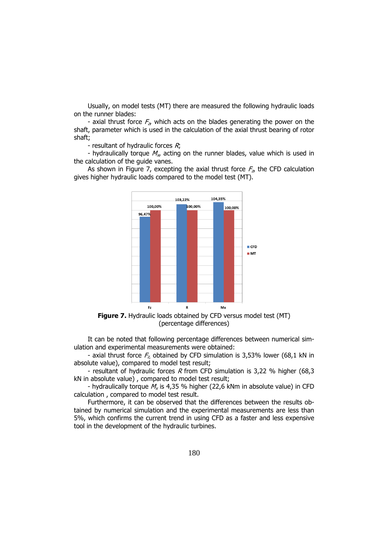Usually, on model tests (MT) there are measured the following hydraulic loads on the runner blades:

- axial thrust force  $F_{z}$ , which acts on the blades generating the power on the shaft, parameter which is used in the calculation of the axial thrust bearing of rotor shaft;

- resultant of hydraulic forces  $R_i$ ;

- hydraulically torque  $M_{xx}$  acting on the runner blades, value which is used in the calculation of the guide vanes.

As shown in Figure 7, excepting the axial thrust force  $F_{\rm z}$ , the CFD calculation gives higher hydraulic loads compared to the model test (MT).



**Figure 7.** Hydraulic loads obtained by CFD versus model test (MT) (percentage differences)

It can be noted that following percentage differences between numerical simulation and experimental measurements were obtained:

- axial thrust force  $F_{z_i}$  obtained by CFD simulation is 3,53% lower (68,1 kN in absolute value), compared to model test result;

- resultant of hydraulic forces R from CFD simulation is 3,22 % higher (68,3 kN in absolute value) , compared to model test result;

- hydraulically torque  $M_x$  is 4,35 % higher (22,6 kNm in absolute value) in CFD calculation , compared to model test result.

Furthermore, it can be observed that the differences between the results obtained by numerical simulation and the experimental measurements are less than 5%, which confirms the current trend in using CFD as a faster and less expensive tool in the development of the hydraulic turbines.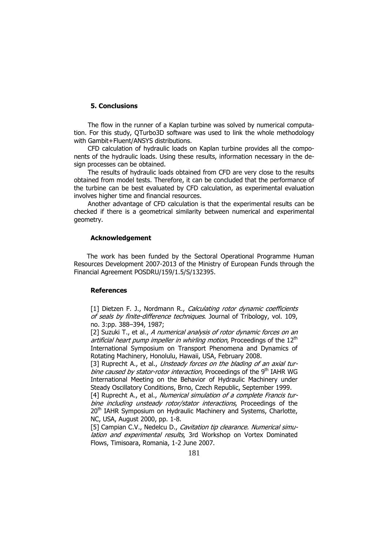#### **5. Conclusions**

The flow in the runner of a Kaplan turbine was solved by numerical computation. For this study, QTurbo3D software was used to link the whole methodology with Gambit+Fluent/ANSYS distributions.

CFD calculation of hydraulic loads on Kaplan turbine provides all the components of the hydraulic loads. Using these results, information necessary in the design processes can be obtained.

The results of hydraulic loads obtained from CFD are very close to the results obtained from model tests. Therefore, it can be concluded that the performance of the turbine can be best evaluated by CFD calculation, as experimental evaluation involves higher time and financial resources.

Another advantage of CFD calculation is that the experimental results can be checked if there is a geometrical similarity between numerical and experimental geometry.

#### **Acknowledgement**

The work has been funded by the Sectoral Operational Programme Human Resources Development 2007-2013 of the Ministry of European Funds through the Financial Agreement POSDRU/159/1.5/S/132395.

### **References**

[1] Dietzen F. J., Nordmann R., Calculating rotor dynamic coefficients of seals by finite-difference techniques. Journal of Tribology, vol. 109, no. 3:pp. 388–394, 1987;

[2] Suzuki T., et al., A numerical analysis of rotor dynamic forces on an artificial heart pump impeller in whirling motion, Proceedings of the  $12<sup>th</sup>$ International Symposium on Transport Phenomena and Dynamics of Rotating Machinery, Honolulu, Hawaii, USA, February 2008.

[3] Ruprecht A., et al., Unsteady forces on the blading of an axial turbine caused by stator-rotor interaction, Proceedings of the 9<sup>th</sup> IAHR WG International Meeting on the Behavior of Hydraulic Machinery under Steady Oscillatory Conditions, Brno, Czech Republic, September 1999.

[4] Ruprecht A., et al., Numerical simulation of a complete Francis turbine including unsteady rotor/stator interactions, Proceedings of the 20<sup>th</sup> IAHR Symposium on Hydraulic Machinery and Systems, Charlotte, NC, USA, August 2000, pp. 1-8.

[5] Campian C.V., Nedelcu D., Cavitation tip clearance. Numerical simulation and experimental results, 3rd Workshop on Vortex Dominated Flows, Timisoara, Romania, 1-2 June 2007.